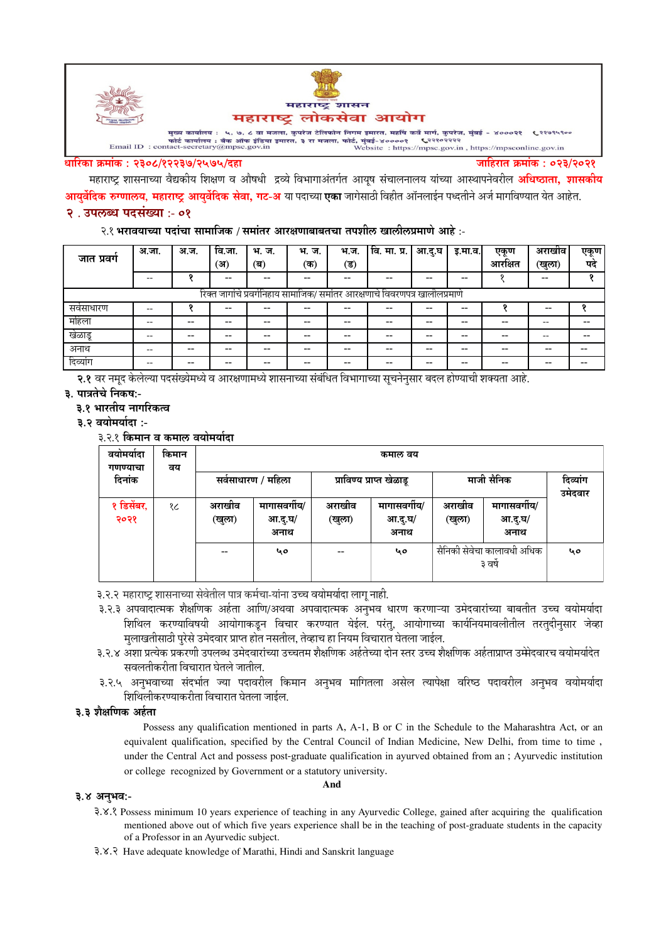

#### धारिका क्रमांक : २३०८/१२२३७/२५७५/दहा

जाहिरात क्रमांक : ०२३/२०२१

महाराष्ट्र शासनाच्या वैद्यकीय शिक्षण व औषधी द्रव्ये विभागाअंतर्गत आयष संचालनालय यांच्या आस्थापनेवरील **अधिष्ठाता, शासकीय आयर्वेदिक रुग्णालय, महाराष्ट्र आयर्वेदिक सेवा, गट-अ** या पदाच्या **एका** जागेसाठी विहीत ऑनलाईन पध्दतीने अर्ज मागविण्यात येत आहेत.

## २. उपलब्ध पदसंख्या :- ०१

#### २.१ भरावयाच्या पदांचा सामाजिक / समांतर आरक्षणाबाबतचा तपशील खालीलप्रमाणे आहे :-

| जात प्रवर्ग                                                                 | अ.जा. | अ.ज. | वि.जा. | भ. ज. | भ. ज. | भ.ज.  | <u>वि. मा. प्र.  </u> | आ.दु.घ | इ.मा.व.। | एकण     | अराखीव | एकूण |
|-----------------------------------------------------------------------------|-------|------|--------|-------|-------|-------|-----------------------|--------|----------|---------|--------|------|
|                                                                             |       |      | ्अ)    | (ब)   | (क)   | (ड)   |                       |        |          | आरक्षित | (खुला) | पद   |
|                                                                             | --    |      | $- -$  |       |       |       | --                    | --     | --       |         | $- -$  |      |
| रिक्त जागांचे प्रवर्गनिहाय सामाजिक/ समांतर आरक्षणाचे विवरणपत्र खालीलप्रमाणे |       |      |        |       |       |       |                       |        |          |         |        |      |
| सर्वसाधारण                                                                  |       |      | $- -$  | --    |       |       |                       | --     | --       |         | --     |      |
| महिला                                                                       |       |      | --     |       |       | $- -$ |                       | --     | --       |         | --     |      |
| खेळाडू                                                                      |       | --   | --     | --    |       | --    | --                    | --     | --       | --      |        |      |
| अनाथ                                                                        |       | --   | --     | --    |       | $- -$ | --                    | $- -$  | --       | --      | --     |      |
| दिव्यांग                                                                    |       | --   | --     | --    |       |       | --                    | --     | --       |         |        |      |

२.१ वर नमद केलेल्या पदसंख्येमध्ये व आरक्षणामध्ये शासनाच्या संबंधित विभागाच्या सूचनेनसार बदल होण्याची शक्यता आहे.

३. पात्रतेचे निकष:-

#### ३.१ भारतीय नागरिकत्व

- ३.२ वयोमर्यादा :-
	- ३२१ किमान व कमाल वयोमर्यादा

| वयामयादा<br>गणण्याचा | किमान<br>वय | कमाल वय                  |                                 |                  |                                 |                                       |                                 |                     |
|----------------------|-------------|--------------------------|---------------------------------|------------------|---------------------------------|---------------------------------------|---------------------------------|---------------------|
| दिनांक               |             | सर्वसाधारण / महिला       |                                 |                  | प्राविण्य प्राप्त खेळाडू        | माजी सैनिक                            |                                 | दिव्यांग<br>उमेदवार |
| १ डिसेंबर,<br>२०२१   | १८          | अराखीव<br>(खुला)         | मागासवर्गीय/<br>आ.दु.घ/<br>अनाथ | अराखीव<br>(खुला) | मागासवर्गीय/<br>आ.दु.घ/<br>अनाथ | अराखीव<br>(खुला)                      | मागासवर्गीय/<br>आ.दु.घ/<br>अनाथ |                     |
|                      |             | $\overline{\phantom{m}}$ | ५०                              |                  | 40                              | सैनिकी सेवेचा कालावधी अधिक<br>३ वर्षे |                                 | ५०                  |

३.२.२ महाराष्ट शासनाच्या सेवेतील पात्र कर्मचा-यांना उच्च वयोमर्यादा लाग नाही.

- ३.२.३ अपवादात्मक शैक्षणिक अर्हता आणि/अथवा अपवादात्मक अनभव धारण करणाऱ्या उमेदवारांच्या बाबतीत उच्च वयोमर्यादा शिथिल करण्याविषयी आयोगाकडून विचार करण्यात येईल. परंतु, आयोगाच्या कार्यनियमावलीतील तरतुदीनुसार जेव्हा मलाखतीसाठी परेसे उमेदवार प्राप्त होत नसतील, तेव्हाच हा नियम विचारात घेतला जाईल.
- ३.२.४ अशा प्रत्येक प्रकरणी उपलब्ध उमेदवारांच्या उच्चतम शैक्षणिक अर्हतेच्या दोन स्तर उच्च शैक्षणिक अर्हताप्राप्त उम्मेदवारच वयोमर्यादेत सवलतीकरीता विचारात घेतले जातील.
- ३.२.५ अनुभवाच्या संदर्भात ज्या पदावरील किमान अनुभव मागितला असेल त्यापेक्षा वरिष्ठ पदावरील अनुभव वयोमर्यादा शिथिलीकरण्याकरीता विचारात घेतला जाईल.

### ३.३ शैक्षणिक अर्हता

Possess any qualification mentioned in parts A, A-1, B or C in the Schedule to the Maharashtra Act, or an equivalent qualification, specified by the Central Council of Indian Medicine, New Delhi, from time to time, under the Central Act and possess post-graduate qualification in ayurved obtained from an; Ayurvedic institution or college recognized by Government or a statutory university.

#### ३.४ अनुभव:-

3.X. Possess minimum 10 years experience of teaching in any Ayurvedic College, gained after acquiring the qualification mentioned above out of which five years experience shall be in the teaching of post-graduate students in the capacity of a Professor in an Ayurvedic subject.

And

3.8.3 Have adequate knowledge of Marathi, Hindi and Sanskrit language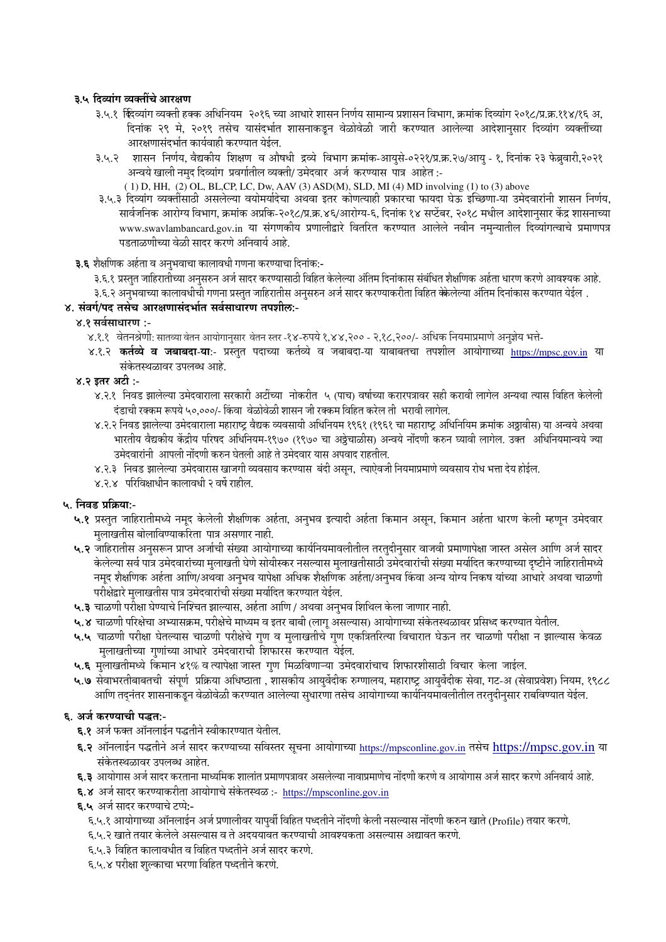## ३.५ दिव्यांग व्यक्तींचे आरक्षण

- ३.५.१ क्लिव्यांग व्यक्ती हक्क अधिनियम २०१६ च्या आधारे शासन निर्णय सामान्य प्रशासन विभाग, क्रमांक दिव्यांग २०१८/प्र.क्र.११४/१६ अ, दिनांक २९ मे, २०१९ तसेच यासंदर्भात शासनाकडून वेळोवेळी जारी करण्यात आलेल्या आदेशानुसार दिव्यांग व्यक्तींच्या आरक्षणासंदर्भात कार्यवाही करण्यात येईल.
- ३.५.२ शासन निर्णय, वैद्यकीय शिक्षण व औषधी द्रव्ये विभाग क्रमांक-आयुसे-०२२१/प्र.क्र.२७/आयु १, दिनांक २३ फेब्रुवारी,२०२१ अन्वये खाली नमुद दिव्यांग प्रवर्गातील व्यक्ती/ उमेदवार अर्ज करण्यास पात्र आहेत :-
	- (1) D, HH, (2) OL, BL, CP, LC, Dw, AAV (3) ASD(M), SLD, MI (4) MD involving (1) to (3) above
- ३.५.३ दिव्यांग व्यक्तींसाठी असलेल्या वयोमर्यादेचा अथवा इतर कोणत्याही प्रकारचा फायदा घेऊ इच्छिणा-या उमेदवारांनी शासन निर्णय, सार्वजनिक आरोग्य विभाग, क्रमांक अप्रकि-२०१८/प्र.क्र.४६/आरोग्य-६, दिनांक १४ सप्टेंबर, २०१८ मधील आदेशानुसार केंद्र शासनाच्या www.swavlambancard.gov.in या संगणकीय प्रणालीद्वारे वितरित करण्यात आलेले नवीन नमुन्यातील दिव्यांगत्वाचे प्रमाणपत्र पडताळणीच्या वेळी सादर करणे अनिवार्य आहे.
- ३.६ शैक्षणिक अर्हता व अनुभवाचा कालावधी गणना करण्याचा दिनांक:-
	- ३.६.१ प्रस्तुत जाहिरातीच्या अनुसरुन अर्ज सादर करण्यासाठी विहित केलेल्या अंतिम दिनांकास संबंधित शैक्षणिक अर्हता धारण करणे आवश्यक आहे.
	- ३.६.२ अनुभवाच्या कालावधीची गणना प्रस्तुत जाहिरातीस अनुसरुन अर्ज सादर करण्याकरीता विहित क्केलेल्या अंतिम दिनांकास करण्यात येईल .

## ४. संवर्ग/पद तसेच आरक्षणासंदर्भात सर्वसाधारण तपशील:-

## ४.१ सर्वसाधारण :-

- ४.१.१ वेतनश्रेणी: सातव्या वेतन आयोगानुसार वेतन स्तर -१४-रुपये १,४४,२०० २,१८,२००/- अधिक नियमाप्रमाणे अनुज्ञेय भत्ते-
- ४.१.२ **कर्तव्ये व जबाबदा-या:-** प्रस्तुत पदाच्या कर्तव्ये व जबाबदा-या याबाबतचा तपशील आयोगाच्या https://mpsc.gov.in या संकेतस्थळावर उपलब्ध आहे.
- ४.२ इतर अटी :-
	- ४.२.१ निवड झालेल्या उमेदवाराला सरकारी अटींच्या नोकरीत ५ (पाच) वर्षाच्या करारपत्रावर सही करावी लागेल अन्यथा त्यास विहित केलेली दंडाची रक्कम रूपये ५०,०००/- किंवा वेळोवेळी शासन जी रक्कम विहित करेल ती भरावी लागेल.
	- ४.२.२ निवड झालेल्या उमेदवाराला महाराष्ट्र वैद्यक व्यवसायी अधिनियम १९६१ (१९६१ चा महाराष्ट्र अधिनियिम क्रमांक अठ्ठावीस) या अन्वये अथवा भारतीय वैद्यकीय केंद्रीय परिषद अधिनियम-१९७० (१९७० चा अठ्ठेचाळीस) अन्वये नोंदणी करुन घ्यावी लागेल. उक्त अधिनियमान्वये ज्या उमेदवारांनी आपली नोंदणी करुन घेतली आहे ते उमेदवार यास अपवाद राहतील.
	- ४.२.३ निवड झालेल्या उमेदवारास खाजगी व्यवसाय करण्यास बंदी असून, त्याऐवजी नियमाप्रमाणे व्यवसाय रोध भत्ता देय होईल.
	- ४.२.४ परिविक्षाधीन कालावधी २ वर्षे राहील.

### ५. निवड प्रक्रिया:-

- ५.१ प्रस्तुत जाहिरातीमध्ये नमूद केलेली शैक्षणिक अर्हता, अनुभव इत्यादी अर्हता किमान असून, किमान अर्हता धारण केली म्हणून उमेदवार मुलाखतीस बोलाविण्याकरिता पात्र असणार नाही.
- ५.२ जाहिरातीस अनुसरून प्राप्त अर्जाची संख्या आयोगाच्या कार्यनियमावलीतील तरतुदीनुसार वाजवी प्रमाणापेक्षा जास्त असेल आणि अर्ज सादर केलेल्या सर्व पात्र उमेदवारांच्या मुलाखती घेणे सोयीस्कर नसल्यास मुलाखतीसाठी उमेदवारांची संख्या मर्यादित करण्याच्या दृष्टीने जाहिरातीमध्ये नमूद शैक्षणिक अर्हता आणि/अथवा अनुभव यापेक्षा अधिक शैक्षणिक अर्हता/अनुभव किंवा अन्य योग्य निकष यांच्या आधारे अथवा चाळणी परीक्षेद्वारे मुलाखतीस पात्र उमेदवारांची संख्या मर्यादित करण्यात येईल.
- ५.३ चाळणी परीक्षा घेण्याचे निश्चित झाल्यास, अर्हता आणि / अथवा अनुभव शिथिल केला जाणार नाही.
- ५.४ चाळणी परिक्षेचा अभ्यासक्रम, परीक्षेचे माध्यम व इतर बाबी (लागू असल्यास) आयोगाच्या संकेतस्थळावर प्रसिध्द करण्यात येतील.
- ५.५ चाळणी परीक्षा घेतल्यास चाळणी परीक्षेचे गुण व मुलाखतीचे गुण एकत्रितरित्या विचारात घेऊन तर चाळणी परीक्षा न झाल्यास केवळ मुलाखतीच्या गुणांच्या आधारे उमेदवाराची शिफारस करण्यात येईल.
- ५.६ मुलाखतीमध्ये किमान ४१% व त्यापेक्षा जास्त गुण मिळविणाऱ्या उमेदवारांचाच शिफारशीसाठी विचार केला जाईल.
- ५.७ सेवाभरतीबाबतची संपूर्ण प्रक्रिया अधिष्ठाता , शासकीय आयुर्वेदीक रुग्णालय, महाराष्ट्र आयुर्वेदीक सेवा, गट-अ (सेवाप्रवेश) नियम, १९८८ आणि तद्नंतर शासनाकडून वेळोवेळी करण्यात आलेल्या सुधारणा तसेच आयोगाच्या कार्यानयमावलीतील तरतुदीनुसार राबविण्यात येईल.

# ६. अर्ज करण्याची पद्धत:-

- ६.१ अर्ज फक्त ऑनलाईन पद्धतीने स्वीकारण्यात येतील.
- **६.२** ऑनलाईन पद्धतीने अर्ज सादर करण्याच्या सविस्तर सूचना आयोगाच्या https://mpsconline.gov.in तसेच https://mpsc.gov.in या संकेतस्थळावर उपलब्ध आहेत.
- ६.३ आयोगास अर्ज सादर करताना माध्यमिक शालांत प्रमाणपत्रावर असलेल्या नावाप्रमाणेच नोंदणी करणे व आयोगास अर्ज सादर करणे अनिवार्य आहे.
- ६.४ अर्ज सादर करण्याकरीता आयोगाचे संकेतस्थळ :- https://mpsconline.gov.in

### **६.५** अर्ज सादर करण्याचे टप्पे:-

- ६.५.१ आयोगाच्या ऑनलाईन अर्ज प्रणालीवर यापूर्वी विहित पध्दतीने नोंदणी केली नसल्यास नोंदणी करुन खाते (Profile) तयार करणे.
- ६.५.२ खाते तयार केलेले असल्यास व ते अदययावत करण्याची आवश्यकता असल्यास अद्यावत करणे.
- ६.५.३ विहित कालावधीत व विहित पध्दतीने अर्ज सादर करणे.
- ६.५.४ परीक्षा शुल्काचा भरणा विहित पध्दतीने करणे.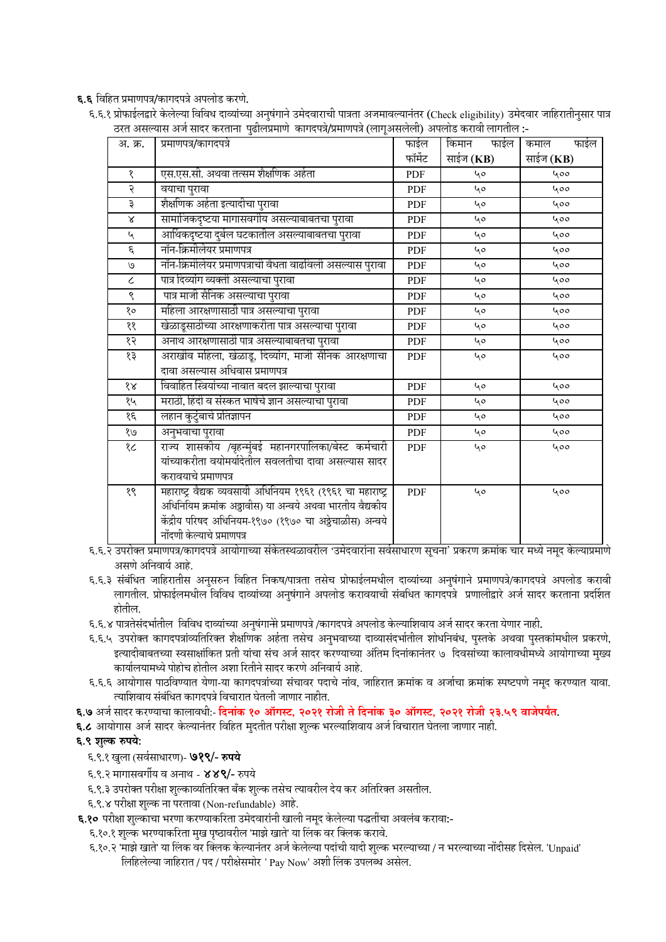६.६ विहित प्रमाणपत्र/कागदपत्रे अपलोड करणे.

६.६.१ प्रोफाईलद्वारे केलेल्या विविध दाव्यांच्या अनुषंगाने उमेदवाराची पात्रता अजमावल्यानंतर (Check eligibility) उमेदवार जाहिरातीनुसार पात्र -: ठरत असल्यास अर्ज सादर करताना पृढीलप्रमाणे कागदपत्रे/प्रमाणपत्रे (लागुअसलेली) अपलोड करावी लागतील

| अ. क्र.       | प्रमाणपत्र/कागदपत्रे                                        | फाईल       | किमान<br>फाईल | कमाल<br>फाईल |  |
|---------------|-------------------------------------------------------------|------------|---------------|--------------|--|
|               |                                                             | फॉर्मेट    | साईज (KB)     | साईज (KB)    |  |
| १             | एस.एस.सी. अथवा तत्सम शैक्षणिक अर्हता                        | <b>PDF</b> | 40            | 400          |  |
| २             | वयाचा पुरावा                                                | PDF        | 40            | 400          |  |
| ३             | शैक्षणिक अर्हता इत्यादीचा पुरावा                            | <b>PDF</b> | 40            | 400          |  |
| $\propto$     | सामाजिकदृष्टया मागासवर्गीय असल्याबाबतचा पुरावा              | PDF        | 40            | 400          |  |
| $\mathbf{v}$  | आर्थिकदृष्टया दुर्बल घटकातील असल्याबाबतचा पुरावा            | <b>PDF</b> | 40            | 400          |  |
| $\epsilon$    | नॉन-क्रिमीलेयर प्रमाणपत्र                                   | PDF        | 40            | 400          |  |
| $\mathcal{O}$ | नॉन-क्रिमीलेयर प्रमाणपत्राची वेधता वाढविली असल्यास पुरावा   | <b>PDF</b> | 40            | 400          |  |
| $\epsilon$    | पात्र दिव्यांग व्यक्ती असल्याचा पुरावा                      | <b>PDF</b> | 40            | 400          |  |
| ९             | पात्र माजी सैनिक असल्याचा पुरावा                            | PDF        | 40            | 400          |  |
| १०            | महिला आरक्षणासाठी पात्र असल्याचा पुरावा                     | <b>PDF</b> | 40            | 400          |  |
| ११            | खेळाडूसाठीच्या आरक्षणाकरीता पात्र असल्याचा पुरावा           | <b>PDF</b> | 40            | 400          |  |
| १२            | अनाथ आरक्षणासाठी पात्र असल्याबाबतचा पुरावा                  | PDF        | 40            | 400          |  |
| १३            | अराखीव महिला, खेळाडू, दिव्यांग, माजी सैनिक आरक्षणाचा        | <b>PDF</b> | 40            | 400          |  |
|               | दावा असल्यास अधिवास प्रमाणपत्र                              |            |               |              |  |
| 88            | विवाहित स्त्रियांच्या नावात बदल झाल्याचा पुरावा             | <b>PDF</b> | 40            | 400          |  |
| १५            | मराठी, हिंदी व संस्कत भाषेचे ज्ञान असल्याचा पुरावा          | PDF        | 40            | 400          |  |
| १६            | लहान कुटुंबाचे प्रतिज्ञापन                                  | PDF        | 40            | 400          |  |
| e/            | अनुभवाचा पुरावा                                             | PDF        | 40            | 400          |  |
| १८            | राज्य शासकीय /बृहन्मुंबई महानगरपालिका/बेस्ट कर्मचारी        | PDF        | 40            | 400          |  |
|               | यांच्याकरीता वयोमर्यादेतील सवलतीचा दावा असल्यास सादर        |            |               |              |  |
|               | करावयाचे प्रमाणपत्र                                         |            |               |              |  |
| $\gamma$      | महाराष्ट्र वैद्यक व्यवसायी अधिनियम १९६१ (१९६१ चा महाराष्ट्र | PDF        | 40            | 400          |  |
|               | अधिनियिम क्रमांक अठ्ठावीस) या अन्वये अथवा भारतीय वैद्यकीय   |            |               |              |  |
|               | केंद्रीय परिषद अधिनियम-१९७० (१९७० चा अठ्ठेचाळीस) अन्वये     |            |               |              |  |
|               | नोंदणी केल्याचे प्रमाणपत्र                                  |            |               |              |  |

६.६.२ उपरोक्त प्रमाणपत्र/कागदपत्रे आयोगाच्या संकेतस्थळावरील 'उमेदवारांना सर्वसाधारण सूचना' प्रकरण क्रमांक चार मध्ये नमूद केल्याप्रमाणे असणे अनिवार्य आहे.

- ६.६.३ संबंधित जाहिरातीस अनुसरुन विहित निकष/पात्रता तसेच प्रोफाईलमधील दाव्यांच्या अनुषंगाने प्रमाणपत्रे/कागदपत्रे अपलोड करावी लागतील. प्रोफाईलमधील विविध दाव्यांच्या अनुषंगाने अपलोड करावयाची संबधित कागदपत्रे प्रणालीद्वारे अर्ज सादर करताना प्रदर्शित होतील.
- ६.६.४ पात्रतेसंदर्भातील विविध दाव्यांच्या अनुषंगा<del>ने</del>ो प्रमाणपत्रे /कागदपत्रे अपलोड केल्याशिवाय अर्ज सादर करता येणार नाही.
- ६.६.५ उपरोक्त कागदपत्रांव्यतिरिक्त शैक्षणिक अर्हता तसेच अनुभवाच्या दाव्यासंदर्भातील शोधनिबंध, पुस्तके अथवा पुस्तकांमधील प्रकरणे, इत्यादीबाबतच्या स्वसाक्षांकित प्रती यांचा संच अर्ज सादर करण्याच्या अंतिम दिनांकानंतर ७ दिवसांच्या कालावधीमध्ये आयोगाच्या मुख्य कार्यालयामध्ये पोहोच होतील अशा रितीने सादर करणे अनिवार्य आहे.
- ६.६.६ आयोगास पाठविण्यात येणा-या कागदपत्रांच्या संचावर पदाचे नांव, जाहिरात क्रमांक व अर्जाचा क्रमांक स्पष्टपणे नमूद करण्यात यावा. त्याशिवाय संबंधित कागदपत्रे विचारात घेतली जाणार नाहीत.

६.७ अर्ज सादर करण्याचा कालावधी:- दिनांक १० ऑगस्ट, २०२१ रोजी ते दिनांक ३० ऑगस्ट, २०२१ रोजी २३.५९ वाजेपर्यंत.

६.८ आयोगास अर्ज सादर केल्यानंतर विहित मुदतीत परीक्षा शुल्क भरल्याशिवाय अर्ज विचारात घेतला जाणार नाही.

# ६.९ शुल्क रुपये:

- ६.९.१ खुला (सर्वसाधारण)- ७१९/- रुपये
- ६.९.२ मागासवर्गीय व अनाथ ४४९/- रुपये
- ६.९.३ उपरोक्त परीक्षा शुल्काव्यतिरिक्त बँक शुल्क तसेच त्यावरील देय कर अतिरिक्त असतील.
- ६.९.४ परीक्षा शुल्क ना परतावा (Non-refundable) आहे.
- ६.१० परीक्षा शुल्काचा भरणा करण्याकरिता उमेदवारांनी खाली नमूद केलेल्या पद्धतींचा अवलंब करावा:-
	- ६.१०.१ शुल्क भरण्याकरिता मुख पृष्ठावरील 'माझे खाते' या लिंक वर क्लिक करावे.
	- ६.१०.२ 'माझे खाते' या लिंक वर क्लिक केल्यानंतर अर्ज केलेल्या पदांची यादी शुल्क भरल्याच्या / न भरल्याच्या नोंदीसह दिसेल. 'Unpaid' लिहिलेल्या जाहिरात / पद / परीक्षेसमोर ' Pay Now' अशी लिंक उपलब्ध असेल.